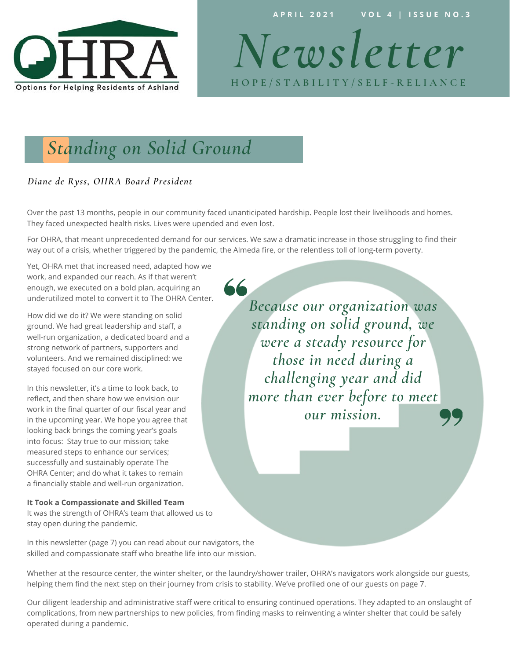

**A P R I L 2 0 2 1 V O L 4 | I S S U E N O . 3** 

*Newsletter*  **H O P E / S T A B I L I T Y / S E L F - R E L I A N C E**

# *Standing on Solid Ground*

#### *Diane de Ryss, OHRA Board President*

Over the past 13 months, people in our community faced unanticipated hardship. People lost their livelihoods and homes. They faced unexpected health risks. Lives were upended and even lost.

For OHRA, that meant unprecedented demand for our services. We saw a dramatic increase in those struggling to find their way out of a crisis, whether triggered by the pandemic, the Almeda fire, or the relentless toll of long-term poverty.

66

Yet, OHRA met that increased need, adapted how we work, and expanded our reach. As if that weren't enough, we executed on a bold plan, acquiring an underutilized motel to convert it to The OHRA Center.

How did we do it? We were standing on solid ground. We had great leadership and staff, a well-run organization, a dedicated board and a strong network of partners, supporters and volunteers. And we remained disciplined: we stayed focused on our core work.

In this newsletter, it's a time to look back, to reflect, and then share how we envision our work in the final quarter of our fiscal year and in the upcoming year. We hope you agree that looking back brings the coming year's goals into focus: Stay true to our mission; take measured steps to enhance our services; successfully and sustainably operate The OHRA Center; and do what it takes to remain a financially stable and well-run organization.

#### **It Took a Compassionate and Skilled Team**

It was the strength of OHRA's team that allowed us to stay open during the pandemic.

In this newsletter (page 7) you can read about our navigators, the skilled and compassionate staff who breathe life into our mission.

*Because our organization was standing on solid ground, we were a steady resource for those in need during a challenging year and did more than ever before to meet our mission.*

Whether at the resource center, the winter shelter, or the laundry/shower trailer, OHRA's navigators work alongside our guests, helping them find the next step on their journey from crisis to stability. We've profiled one of our guests on page 7.

Our diligent leadership and administrative staff were critical to ensuring continued operations. They adapted to an onslaught of complications, from new partnerships to new policies, from finding masks to reinventing a winter shelter that could be safely operated during a pandemic.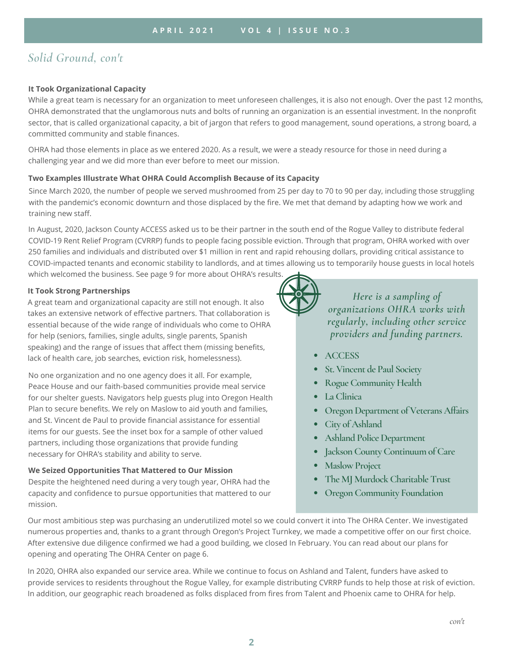### *Solid Ground, con't*

#### **It Took Organizational Capacity**

While a great team is necessary for an organization to meet unforeseen challenges, it is also not enough. Over the past 12 months, OHRA demonstrated that the unglamorous nuts and bolts of running an organization is an essential investment. In the nonprofit sector, that is called organizational capacity, a bit of jargon that refers to good management, sound operations, a strong board, a committed community and stable finances.

OHRA had those elements in place as we entered 2020. As a result, we were a steady resource for those in need during a challenging year and we did more than ever before to meet our mission.

#### **Two Examples Illustrate What OHRA Could Accomplish Because of its Capacity**

Since March 2020, the number of people we served mushroomed from 25 per day to 70 to 90 per day, including those struggling with the pandemic's economic downturn and those displaced by the fire. We met that demand by adapting how we work and training new staff.

In August, 2020, Jackson County ACCESS asked us to be their partner in the south end of the Rogue Valley to distribute federal COVID-19 Rent Relief Program (CVRRP) funds to people facing possible eviction. Through that program, OHRA worked with over 250 families and individuals and distributed over \$1 million in rent and rapid rehousing dollars, providing critical assistance to COVID-impacted tenants and economic stability to landlords, and at times allowing us to temporarily house guests in local hotels which welcomed the business. See page 9 for more about OHRA's results.

#### **It Took Strong Partnerships**

A great team and organizational capacity are still not enough. It also takes an extensive network of effective partners. That collaboration is essential because of the wide range of individuals who come to OHRA for help (seniors, families, single adults, single parents, Spanish speaking) and the range of issues that affect them (missing benefits, lack of health care, job searches, eviction risk, homelessness).

No one organization and no one agency does it all. For example, Peace House and our faith-based communities provide meal service for our shelter guests. Navigators help guests plug into Oregon Health Plan to secure benefits. We rely on Maslow to aid youth and families, and St. Vincent de Paul to provide financial assistance for essential items for our guests. See the inset box for a sample of other valued partners, including those organizations that provide funding necessary for OHRA's stability and ability to serve.

#### **We Seized Opportunities That Mattered to Our Mission**

Despite the heightened need during a very tough year, OHRA had the capacity and confidence to pursue opportunities that mattered to our mission.



*Here is a sampling of organizations OHRA works with regularly, including other service providers and funding partners.*

- **ACCESS**
- **St. Vincent de Paul Society**
- **Rogue Community Health**
- **La Clinica**
- **Oregon Department of Veterans Affairs**
- **City of Ashland**
- **Ashland Police Department**
- **Jackson County Continuum of Care**
- **Maslow Project**
- **The MJ Murdock Charitable Trust**
- **Oregon Community Foundation**

Our most ambitious step was purchasing an underutilized motel so we could convert it into The OHRA Center. We investigated numerous properties and, thanks to a grant through Oregon's Project Turnkey, we made a competitive offer on our first choice. After extensive due diligence confirmed we had a good building, we closed In February. You can read about our plans for opening and operating The OHRA Center on page 6.

In 2020, OHRA also expanded our service area. While we continue to focus on Ashland and Talent, funders have asked to provide services to residents throughout the Rogue Valley, for example distributing CVRRP funds to help those at risk of eviction. In addition, our geographic reach broadened as folks displaced from fires from Talent and Phoenix came to OHRA for help.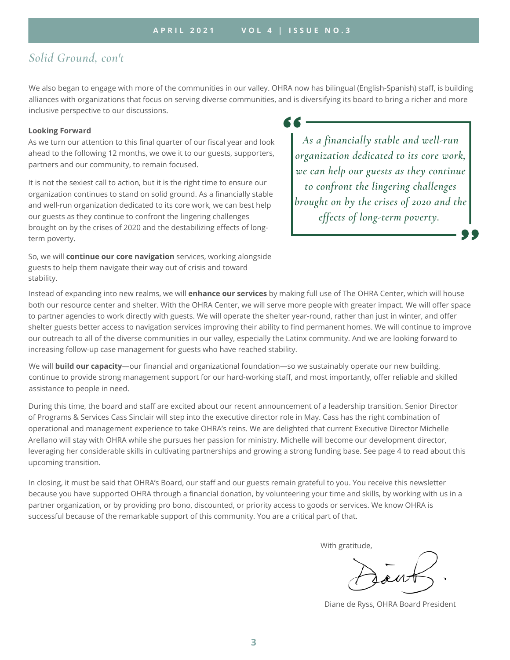### *Solid Ground, con't*

We also began to engage with more of the communities in our valley. OHRA now has bilingual (English-Spanish) staff, is building alliances with organizations that focus on serving diverse communities, and is diversifying its board to bring a richer and more inclusive perspective to our discussions.

#### **Looking Forward**

As we turn our attention to this final quarter of our fiscal year and look ahead to the following 12 months, we owe it to our guests, supporters, partners and our community, to remain focused.

It is not the sexiest call to action, but it is the right time to ensure our organization continues to stand on solid ground. As a financially stable and well-run organization dedicated to its core work, we can best help our guests as they continue to confront the lingering challenges brought on by the crises of 2020 and the destabilizing effects of longterm poverty.

So, we will **continue our core navigation** services, working alongside guests to help them navigate their way out of crisis and toward stability.

*As a financially stable and well-run organization dedicated to its core work, we can help our guests as they continue to confront the lingering challenges brought on by the crises of 2020 and the effects of long-term poverty.*

Instead of expanding into new realms, we will **enhance our services** by making full use of The OHRA Center, which will house both our resource center and shelter. With the OHRA Center, we will serve more people with greater impact. We will offer space to partner agencies to work directly with guests. We will operate the shelter year-round, rather than just in winter, and offer shelter guests better access to navigation services improving their ability to find permanent homes. We will continue to improve our outreach to all of the diverse communities in our valley, especially the Latinx community. And we are looking forward to increasing follow-up case management for guests who have reached stability.

We will **build our capacity**—our financial and organizational foundation—so we sustainably operate our new building, continue to provide strong management support for our hard-working staff, and most importantly, offer reliable and skilled assistance to people in need.

During this time, the board and staff are excited about our recent announcement of a leadership transition. Senior Director of Programs & Services Cass Sinclair will step into the executive director role in May. Cass has the right combination of operational and management experience to take OHRA's reins. We are delighted that current Executive Director Michelle Arellano will stay with OHRA while she pursues her passion for ministry. Michelle will become our development director, leveraging her considerable skills in cultivating partnerships and growing a strong funding base. See page 4 to read about this upcoming transition.

In closing, it must be said that OHRA's Board, our staff and our guests remain grateful to you. You receive this newsletter because you have supported OHRA through a financial donation, by volunteering your time and skills, by working with us in a partner organization, or by providing pro bono, discounted, or priority access to goods or services. We know OHRA is successful because of the remarkable support of this community. You are a critical part of that.

With gratitude,

Diane de Ryss, OHRA Board President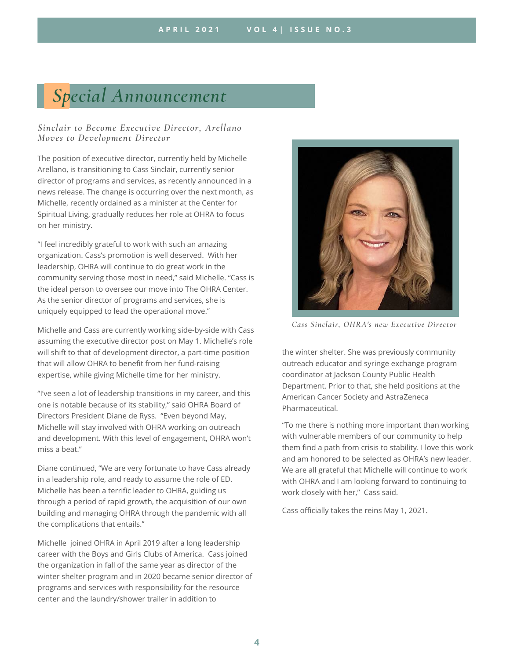# *Special Announcement*

#### *Sinclair to Become Executive Director, Arellano Moves to Development Director*

The position of executive director, currently held by Michelle Arellano, is transitioning to Cass Sinclair, currently senior director of programs and services, as recently announced in a news release. The change is occurring over the next month, as Michelle, recently ordained as a minister at the Center for Spiritual Living, gradually reduces her role at OHRA to focus on her ministry.

"I feel incredibly grateful to work with such an amazing organization. Cass's promotion is well deserved. With her leadership, OHRA will continue to do great work in the community serving those most in need," said Michelle. "Cass is the ideal person to oversee our move into The OHRA Center. As the senior director of programs and services, she is uniquely equipped to lead the operational move."

Michelle and Cass are currently working side-by-side with Cass assuming the executive director post on May 1. Michelle's role will shift to that of development director, a part-time position that will allow OHRA to benefit from her fund-raising expertise, while giving Michelle time for her ministry.

"I've seen a lot of leadership transitions in my career, and this one is notable because of its stability," said OHRA Board of Directors President Diane de Ryss. "Even beyond May, Michelle will stay involved with OHRA working on outreach and development. With this level of engagement, OHRA won't miss a beat."

Diane continued, "We are very fortunate to have Cass already in a leadership role, and ready to assume the role of ED. Michelle has been a terrific leader to OHRA, guiding us through a period of rapid growth, the acquisition of our own building and managing OHRA through the pandemic with all the complications that entails."

Michelle joined OHRA in April 2019 after a long leadership career with the Boys and Girls Clubs of America. Cass joined the organization in fall of the same year as director of the winter shelter program and in 2020 became senior director of programs and services with responsibility for the resource center and the laundry/shower trailer in addition to



*Cass Sinclair, OHRA's new Executive Director*

the winter shelter. She was previously community outreach educator and syringe exchange program coordinator at Jackson County Public Health Department. Prior to that, she held positions at the American Cancer Society and AstraZeneca **Pharmaceutical** 

"To me there is nothing more important than working with vulnerable members of our community to help them find a path from crisis to stability. I love this work and am honored to be selected as OHRA's new leader. We are all grateful that Michelle will continue to work with OHRA and I am looking forward to continuing to work closely with her," Cass said.

Cass officially takes the reins May 1, 2021.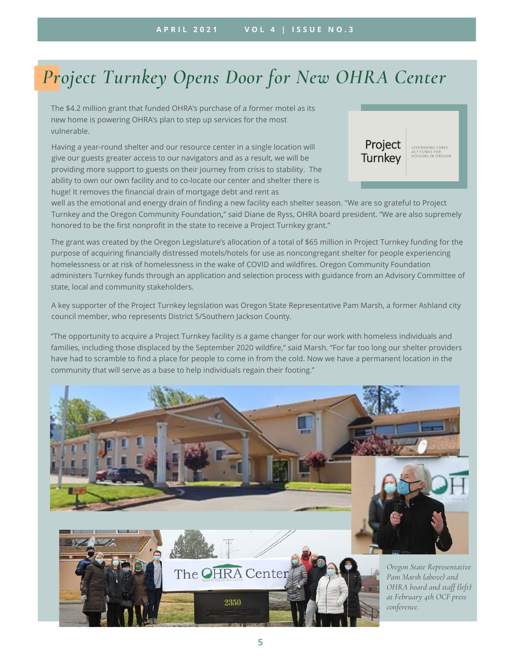# *Project Turnkey Opens Door for New OHRA Center*

The \$4.2 million grant that funded OHRA's purchase of a former motel as its new home is powering OHRA's plan to step up services for the most vulnerable.

Having a year-round shelter and our resource center in a single location will give our guests greater access to our navigators and as a result, we will be providing more support to guests on their journey from crisis to stability. The ability to own our own facility and to co-locate our center and shelter there is huge! It removes the financial drain of mortgage debt and rent as



well as the emotional and energy drain of finding a new facility each shelter season. "We are so grateful to Project Turnkey and the Oregon Community Foundation**,**" said Diane de Ryss, OHRA board president. "We are also supremely honored to be the first nonprofit in the state to receive a Project Turnkey grant."

The grant was created by the Oregon Legislature's allocation of a total of \$65 million in Project Turnkey funding for the purpose of acquiring financially distressed motels/hotels for use as noncongregant shelter for people experiencing homelessness or at risk of homelessness in the wake of COVID and wildfires. Oregon Community Foundation administers Turnkey funds through an application and selection process with guidance from an Advisory Committee of state, local and community stakeholders.

A key supporter of the Project Turnkey legislation was Oregon State Representative Pam Marsh, a former Ashland city council member, who represents District 5/Southern Jackson County.

"The opportunity to acquire a Project Turnkey facility is a game changer for our work with homeless individuals and families, including those displaced by the September 2020 wildfire," said Marsh. "For far too long our shelter providers have had to scramble to find a place for people to come in from the cold. Now we have a permanent location in the community that will serve as a base to help individuals regain their footing."

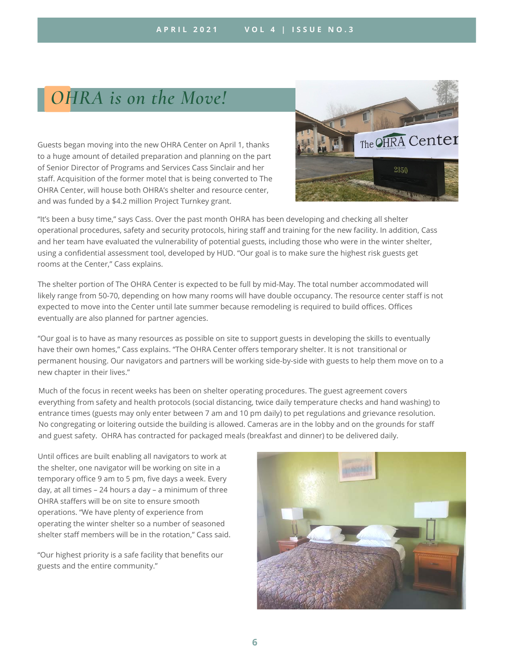### *OHRA is on the Move!*

Guests began moving into the new OHRA Center on April 1, thanks to a huge amount of detailed preparation and planning on the part of Senior Director of Programs and Services Cass Sinclair and her staff. Acquisition of the former motel that is being converted to The OHRA Center, will house both OHRA's shelter and resource center, and was funded by a \$4.2 million Project Turnkey grant.



"It's been a busy time," says Cass. Over the past month OHRA has been developing and checking all shelter operational procedures, safety and security protocols, hiring staff and training for the new facility. In addition, Cass and her team have evaluated the vulnerability of potential guests, including those who were in the winter shelter, using a confidential assessment tool, developed by HUD. "Our goal is to make sure the highest risk guests get rooms at the Center," Cass explains.

The shelter portion of The OHRA Center is expected to be full by mid-May. The total number accommodated will likely range from 50-70, depending on how many rooms will have double occupancy. The resource center staff is not expected to move into the Center until late summer because remodeling is required to build offices. Offices eventually are also planned for partner agencies.

"Our goal is to have as many resources as possible on site to support guests in developing the skills to eventually have their own homes," Cass explains. "The OHRA Center offers temporary shelter. It is not transitional or permanent housing. Our navigators and partners will be working side-by-side with guests to help them move on to a new chapter in their lives."

Much of the focus in recent weeks has been on shelter operating procedures. The guest agreement covers everything from safety and health protocols (social distancing, twice daily temperature checks and hand washing) to entrance times (guests may only enter between 7 am and 10 pm daily) to pet regulations and grievance resolution. No congregating or loitering outside the building is allowed. Cameras are in the lobby and on the grounds for staff and guest safety. OHRA has contracted for packaged meals (breakfast and dinner) to be delivered daily.

Until offices are built enabling all navigators to work at the shelter, one navigator will be working on site in a temporary office 9 am to 5 pm, five days a week. Every day, at all times – 24 hours a day – a minimum of three OHRA staffers will be on site to ensure smooth operations. "We have plenty of experience from operating the winter shelter so a number of seasoned shelter staff members will be in the rotation," Cass said.

"Our highest priority is a safe facility that benefits our guests and the entire community."

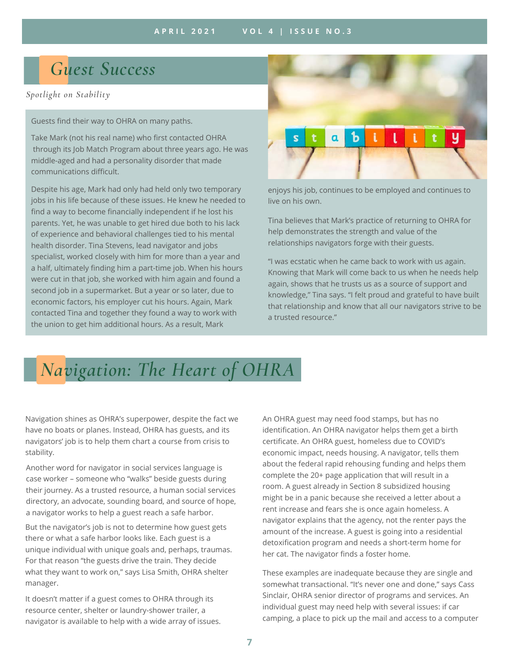## *Guest Success*

*Spotlight on Stability*

Guests find their way to OHRA on many paths.

Take Mark (not his real name) who first contacted OHRA through its Job Match Program about three years ago. He was middle-aged and had a personality disorder that made communications difficult.

Despite his age, Mark had only had held only two temporary jobs in his life because of these issues. He knew he needed to find a way to become financially independent if he lost his parents. Yet, he was unable to get hired due both to his lack of experience and behavioral challenges tied to his mental health disorder. Tina Stevens, lead navigator and jobs specialist, worked closely with him for more than a year and a half, ultimately finding him a part-time job. When his hours were cut in that job, she worked with him again and found a second job in a supermarket. But a year or so later, due to economic factors, his employer cut his hours. Again, Mark contacted Tina and together they found a way to work with the union to get him additional hours. As a result, Mark



enjoys his job, continues to be employed and continues to live on his own.

Tina believes that Mark's practice of returning to OHRA for help demonstrates the strength and value of the relationships navigators forge with their guests.

"I was ecstatic when he came back to work with us again. Knowing that Mark will come back to us when he needs help again, shows that he trusts us as a source of support and knowledge," Tina says. "I felt proud and grateful to have built that relationship and know that all our navigators strive to be a trusted resource."

# *Navigation: The Heart of OHRA*

Navigation shines as OHRA's superpower, despite the fact we have no boats or planes. Instead, OHRA has guests, and its navigators' job is to help them chart a course from crisis to stability.

Another word for navigator in social services language is case worker – someone who "walks" beside guests during their journey. As a trusted resource, a human social services directory, an advocate, sounding board, and source of hope, a navigator works to help a guest reach a safe harbor.

But the navigator's job is not to determine how guest gets there or what a safe harbor looks like. Each guest is a unique individual with unique goals and, perhaps, traumas. For that reason "the guests drive the train. They decide what they want to work on," says Lisa Smith, OHRA shelter manager.

It doesn't matter if a guest comes to OHRA through its resource center, shelter or laundry-shower trailer, a navigator is available to help with a wide array of issues. economic impact, needs housing. A navigator, tells them about the federal rapid rehousing funding and helps them complete the 20+ page application that will result in a room. A guest already in Section 8 subsidized housing might be in a panic because she received a letter about a rent increase and fears she is once again homeless. A navigator explains that the agency, not the renter pays the amount of the increase. A guest is going into a residential detoxification program and needs a short-term home for her cat. The navigator finds a foster home. An OHRA guest may need food stamps, but has no identification. An OHRA navigator helps them get a birth certificate. An OHRA guest, homeless due to COVID's

These examples are inadequate because they are single and somewhat transactional. "It's never one and done," says Cass Sinclair, OHRA senior director of programs and services. An individual guest may need help with several issues: if car camping, a place to pick up the mail and access to a computer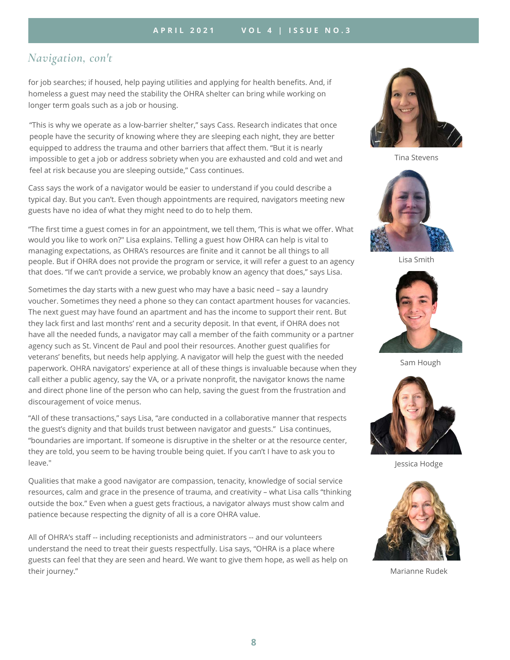$\mathcal{L}_\text{L}$  is the contract of  $\mathcal{L}_\text{L}$  .  $\mathcal{L}_\text{L}$  is the contract of  $\mathcal{L}_\text{L}$ 

### *Navigation, con't*

for job searches; if housed, help paying utilities and applying for health benefits. And, if homeless a guest may need the stability the OHRA shelter can bring while working on longer term goals such as a job or housing.

"This is why we operate as a low-barrier shelter," says Cass. Research indicates that once people have the security of knowing where they are sleeping each night, they are better equipped to address the trauma and other barriers that affect them. "But it is nearly impossible to get a job or address sobriety when you are exhausted and cold and wet and feel at risk because you are sleeping outside," Cass continues.

Cass says the work of a navigator would be easier to understand if you could describe a typical day. But you can't. Even though appointments are required, navigators meeting new guests have no idea of what they might need to do to help them.

"The first time a guest comes in for an appointment, we tell them, 'This is what we offer. What would you like to work on?" Lisa explains. Telling a guest how OHRA can help is vital to managing expectations, as OHRA's resources are finite and it cannot be all things to all people. But if OHRA does not provide the program or service, it will refer a guest to an agency that does. "If we can't provide a service, we probably know an agency that does," says Lisa.

Sometimes the day starts with a new guest who may have a basic need – say a laundry voucher. Sometimes they need a phone so they can contact apartment houses for vacancies. The next guest may have found an apartment and has the income to support their rent. But they lack first and last months' rent and a security deposit. In that event, if OHRA does not have all the needed funds, a navigator may call a member of the faith community or a partner agency such as St. Vincent de Paul and pool their resources. Another guest qualifies for veterans' benefits, but needs help applying. A navigator will help the guest with the needed paperwork. OHRA navigators' experience at all of these things is invaluable because when they call either a public agency, say the VA, or a private nonprofit, the navigator knows the name and direct phone line of the person who can help, saving the guest from the frustration and discouragement of voice menus.

"All of these transactions," says Lisa, "are conducted in a collaborative manner that respects the guest's dignity and that builds trust between navigator and guests." Lisa continues, "boundaries are important. If someone is disruptive in the shelter or at the resource center, they are told, you seem to be having trouble being quiet. If you can't I have to ask you to leave."

Qualities that make a good navigator are compassion, tenacity, knowledge of social service resources, calm and grace in the presence of trauma, and creativity – what Lisa calls "thinking outside the box." Even when a guest gets fractious, a navigator always must show calm and patience because respecting the dignity of all is a core OHRA value.

All of OHRA's staff -- including receptionists and administrators -- and our volunteers understand the need to treat their guests respectfully. Lisa says, "OHRA is a place where guests can feel that they are seen and heard. We want to give them hope, as well as help on their journey."



Tina Stevens



Lisa Smith



Sam Hough



Jessica Hodge



Marianne Rudek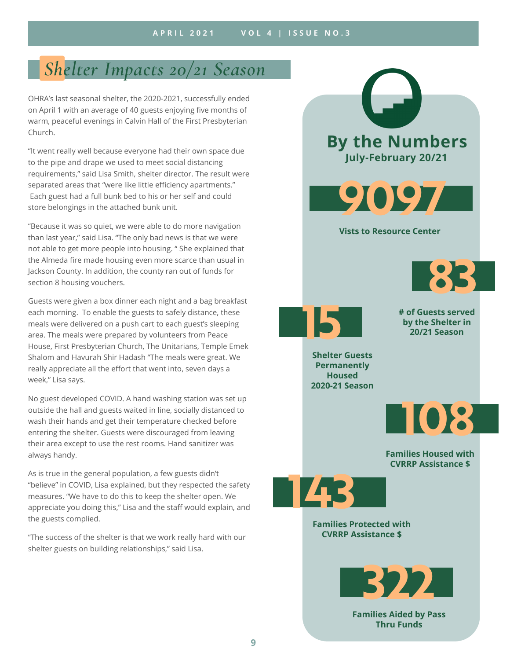## *Shelter Impacts 20/21 Season*

OHRA's last seasonal shelter, the 2020-2021, successfully ended on April 1 with an average of 40 guests enjoying five months of warm, peaceful evenings in Calvin Hall of the First Presbyterian Church.

"It went really well because everyone had their own space due to the pipe and drape we used to meet social distancing requirements," said Lisa Smith, shelter director. The result were separated areas that "were like little efficiency apartments." Each guest had a full bunk bed to his or her self and could store belongings in the attached bunk unit.

"Because it was so quiet, we were able to do more navigation than last year," said Lisa. "The only bad news is that we were not able to get more people into housing. " She explained that the Almeda fire made housing even more scarce than usual in Jackson County. In addition, the county ran out of funds for section 8 housing vouchers.

Guests were given a box dinner each night and a bag breakfast each morning. To enable the guests to safely distance, these meals were delivered on a push cart to each guest's sleeping area. The meals were prepared by volunteers from Peace House, First Presbyterian Church, The Unitarians, Temple Emek Shalom and Havurah Shir Hadash "The meals were great. We really appreciate all the effort that went into, seven days a week," Lisa says.

No guest developed COVID. A hand washing station was set up outside the hall and guests waited in line, socially distanced to wash their hands and get their temperature checked before entering the shelter. Guests were discouraged from leaving their area except to use the rest rooms. Hand sanitizer was always handy.

As is true in the general population, a few guests didn't "believe" in COVID, Lisa explained, but they respected the safety measures. "We have to do this to keep the shelter open. We appreciate you doing this," Lisa and the staff would explain, and the guests complied.

"The success of the shelter is that we work really hard with our shelter guests on building relationships," said Lisa.